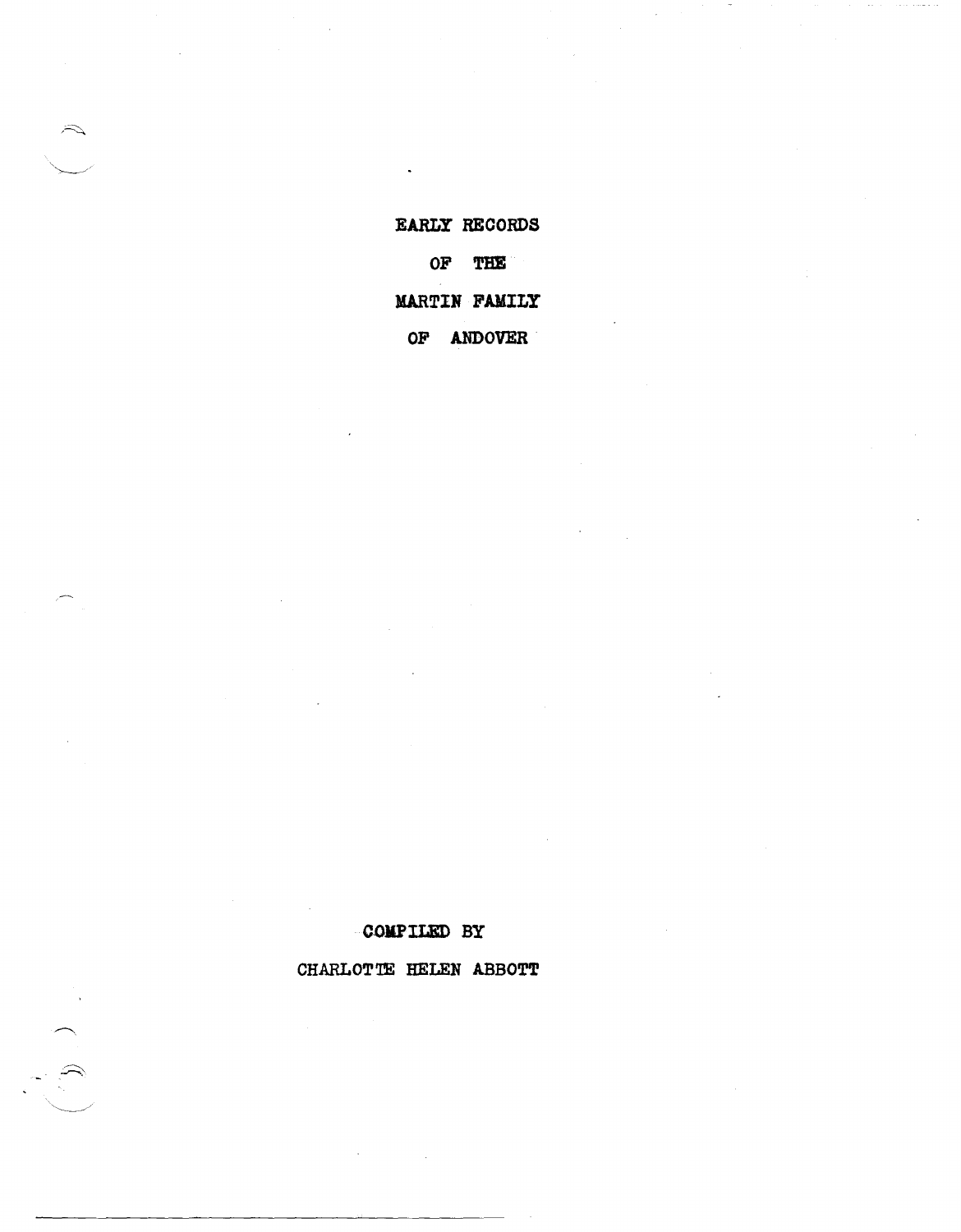EARLY RECORDS OF THE **MARTIN FAMILY** OF ANDOVER

 $\mathcal{L}$ 

 $\widetilde{\mathcal{L}}$ 

# CHARLOTTE HELEN ABBOTT

COMPILED BY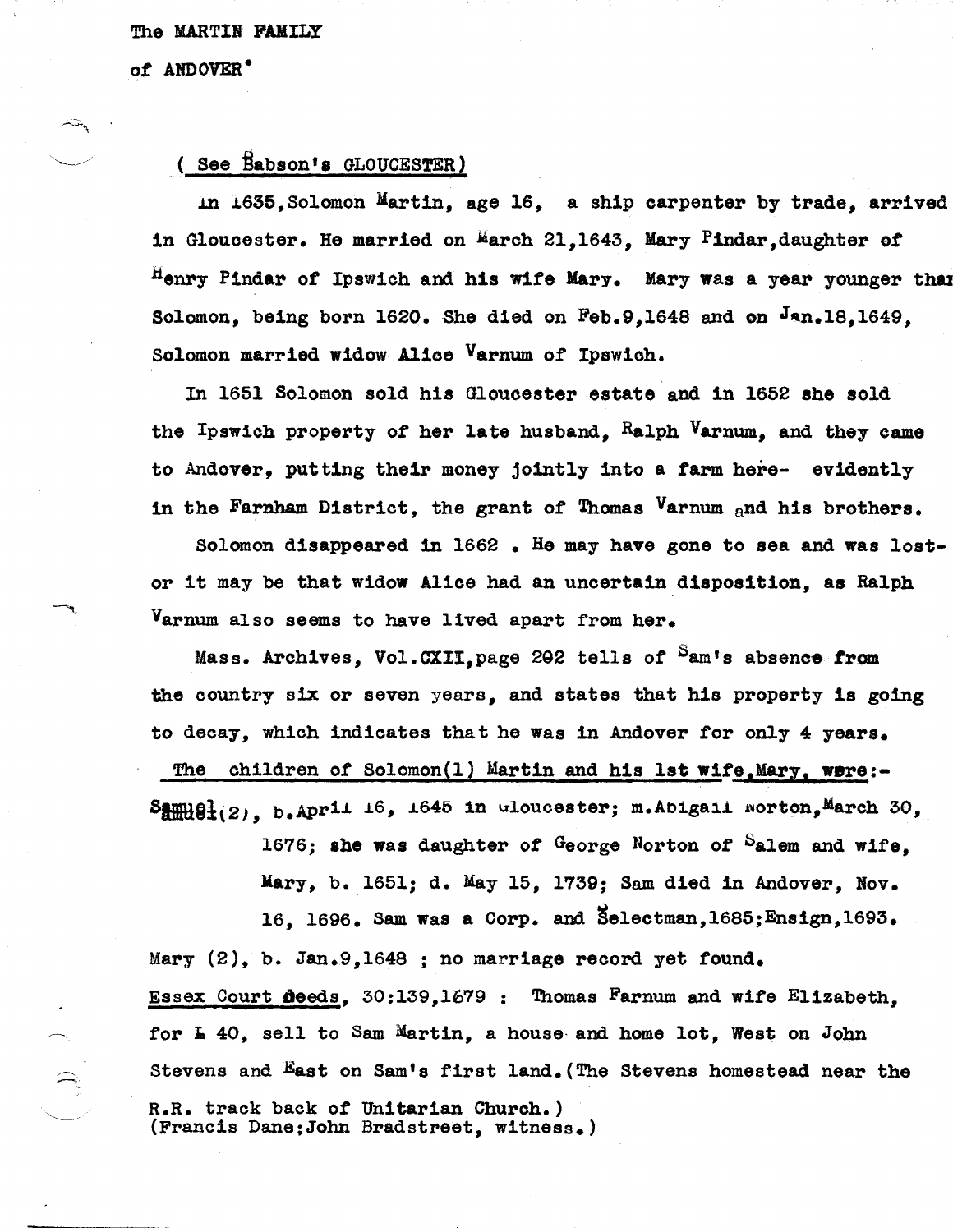#### The MARTIN FAMILY

*ot* ANDOVER-

## ( See Babson's GLOUCESTER)

In 1635, Solomon Martin, age 16, a ship carpenter by trade, arrived in Gloucester. He married on March 21,1643, Mary Pindar, daughter of Henry Pindar of Ipswich and his wife Mary. Mary was a year younger than Solomon, being born 1620. She died on Feb.9,1648 and on Jan.18,1649. Solomon married widow Alice Varnum *ot* Ipswich.

In 1651 Solomon sold his Gloucester estate and in 1652 she sold the Ipswich property *ot* her late husband, Ralph Varnum, and they came to Andover, putting their money jointly into a tarm here- evidently in the Farnham District, the grant *ot* Thomas Varnum and his brothers.

Solomon disappeared in 1662 • He may have gone to sea and was lostor it may be that widow Alice had an uncertain disposition, as Ralph Varnum also seems to have lived apart from her.

Mass. Archives, Vol.CXII, page 202 tells of <sup>S</sup>am's absence from the country six or seven years, and states that his property 1s going to decay, which indicates that he was in Andover tor only 4 years.

The children of Solomon(1) Martin and his 1st wife, Mary, were:- $S_{mm}^{max}$ g<sub>1(2)</sub>, b.Aprii<sup>16</sup>, <sup>1645</sup> in *w*loucester; m.Abigail worton, March 30,

> 1676; she was daughter *ot* George Norton *ot* Salem and wife, Mary, b. 1651; d. May 15, 1739; Sam died in Andover, Nov. 16. 1696. Sam was a Corp. and Selectman,1685;Ensign,1693.

Mary (2), b. Jan.9,1648 ; no marriage record yet found. Essex Court Deeds, 30:139,1679: Thomas Farnum and wite Elizabeth, for  $\texttt{I}$  40, sell to Sam Martin, a house and home lot, West on John Stevens and East on Sam's first land.(The Stevens homestead near the R.R. track back *ot* Unitarian Church.) (Francis Dane:John Bradstreet, witness.)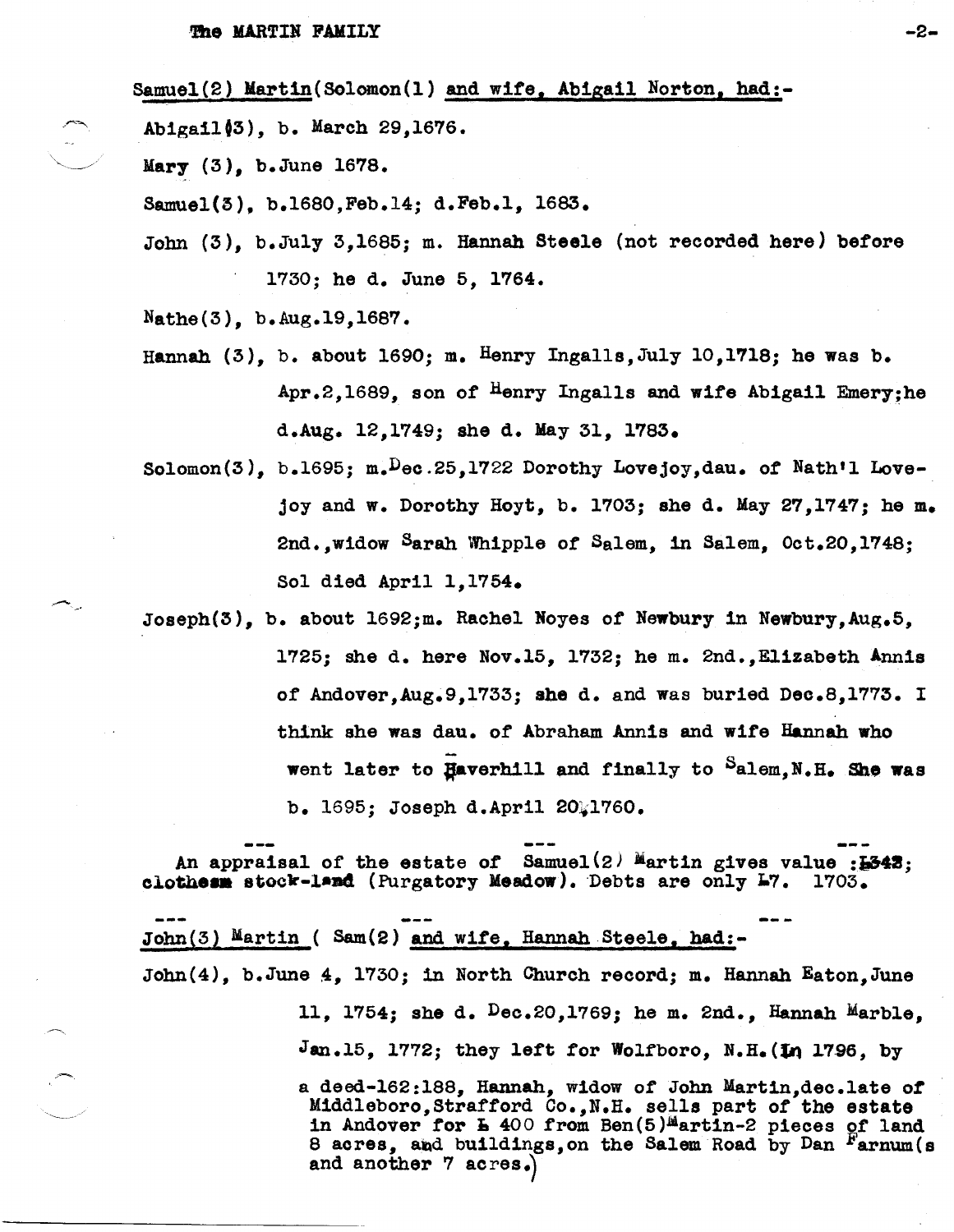Samuel(2) Martin(Solomon(1) and wife, Abigail Norton, had:-

Abigail03), b. March 29,1676.

Mary (3), b.June 1678.

Samuel(3), b.1680,Feb.14; d.Feb.l, 1683.

John (3), b.July 3,1685; m. Hannah Steele (not recorded here) before 1730; he d. June 5, 1764.

Nathe(3), b.Aug.19,1687.

- Hannah  $(3)$ , b. about 1690; m. Henry Ingalls, July 10.1718; he was b. Apr.2,1689, son *ot* Henry Ingalls and wlfe Ablgail Emery;he d.Aug. 12,1749; she d. May 31, 1783.
- Solomon(3), b.1695; m.Dec.25,1722 Dorothy Lovejoy,dau. *ot* Nath'l Lovejoy and w. Dorothy Hoyt, b. 1703; she d. May 27,1747; he m. 2nd.,widow Saran \Yhipp1e of Salem, in Salem, Oct.20,1748; Sol died April 1,1754.
- Joseph(3), b. about 1692;m. Rachel Noyes of Newbury in Newbury, Aug.5, 1725; She d. here Nov.15, 1732; he m. 2nd.,Ellzabeth Annls *ot* Andover,Aug.9,1733; she d. and was buried Deo.8,1773. I think she was dau. *ot* Abraham Annis and wite Hannah who went later to Haverhill and finally to Salem.N.H. She was b. 1695; Joseph d.April 20.1760.

An appraisal of the estate of  $Samuel(2)$  Martin gives value : $E343$ : clothesm stock-land (Purgatory Meadow). Debts are only 17. 1703.

John(3) Martin ( Sam(2) and wlte, Hannah Steele, bad:- John(4}, b.June 4, 1730; in North Churoh record; m. Hannah Eaton,June 11, 1754; she d.  $Dec.20, 1769$ ; he m. 2nd., Hannah Marble. Jan.15, 1772; they left for Wolfboro, N.H. (In 1796, by a deed-162:188, Hannah, widow of John Martln,deo.late *or*  Middleboro,Strattord Co.,N.H. sells part of the estate middleboro, Straitord Co., N.H. Sells part of the estate<br>in Andover for **h** 400 from Ben(5)<sup>M</sup>artin-2 pieces of land 8 acres, and buildings, on the Salem Road by Dan Farnum(s and another  $7$  acres.

-2-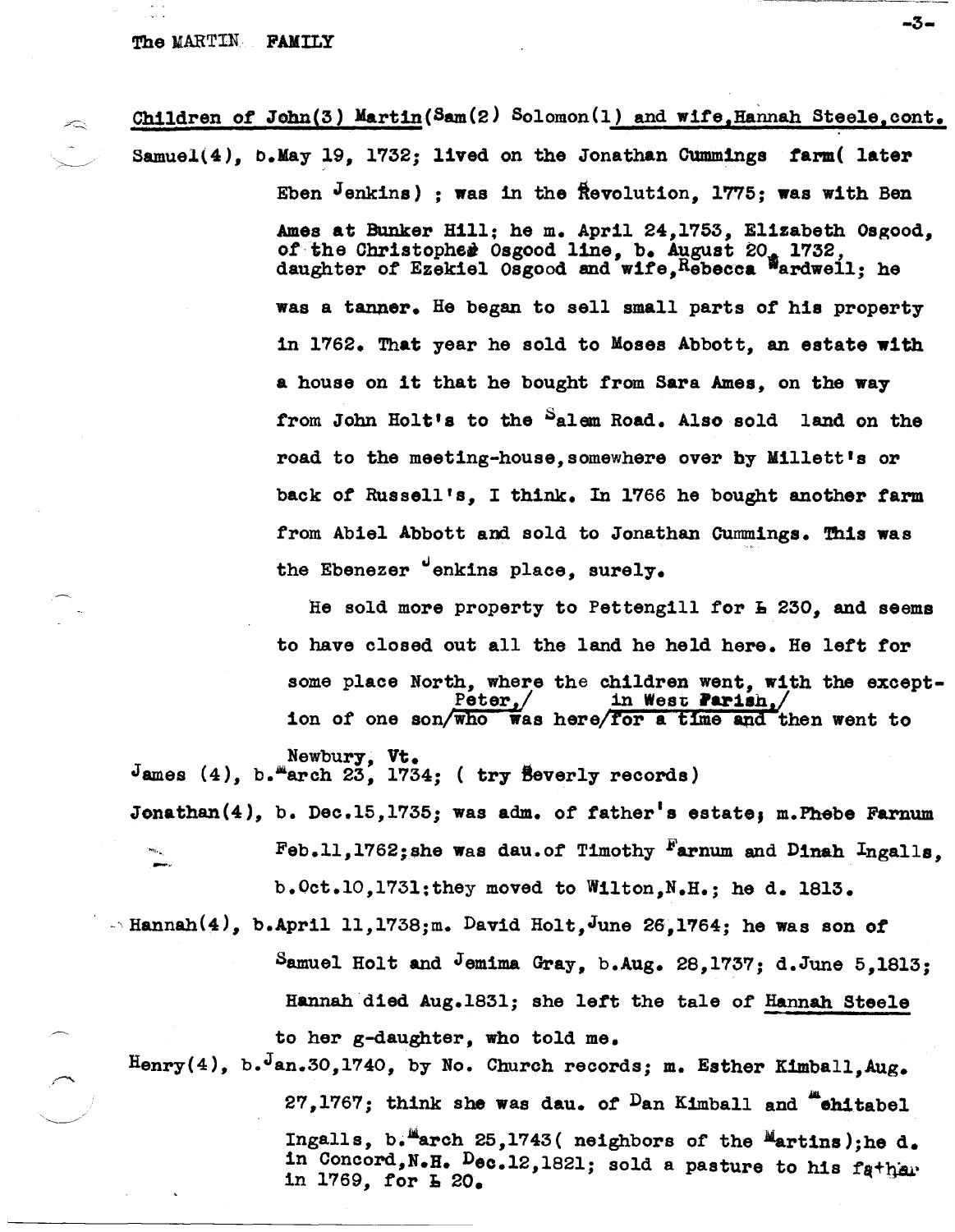#### The MARTIN FAMILY

Children of John(3) Martin (Sam  $(2)$  Solomon (1) and wife, Hannah Steele, cont. Samuel(4), b.May 19, 1732; lived on the Jonathan Cummings farm( later Eben  $J$ enkins) ; was in the  $R$ evolution, 1775; was with Ben Ames at Bunker Hill; he m. April 24,1753, Elizabeth Osgood,

of the Christopher Osgood line, b. August 20, 1732, daughter *ot* Ezekiel Osgood and wife,Rebecca 'ardwell; he was a tanner. He began to sell small parts of his property in 1762. That year he sold to Moses Abbott, an estate with a house on it that he bought from Sara Ames, on the way from John Holt's to the Salem Road. Also sold land on the road to the meeting-house, somewhere over by Millett's or back of Russell's, I think. In 1766 he bought another farm from Abiel Abbott and sold to Jonathan Cummings. This was the Ebenezer "enkins place, surely.

He sold more property to Pettengill for **L** 230, and seems to have closed out all the land he held here. He lett for some place North, where the children went, with the except-<br> $Peter_{s}/$  in West Parish,/ ion of one son/who was here/for a time and then went to

Newbury, Vt.

 $J$ ames (4), b. "arch 23, 1734; ( try Beverly records)

Jonathan(4), b. Dec.15,1735; was adm. of father's estate, m.Phebe Farnum Feb.11,1762;she was dau.of Timothy Farnum and Dinah Ingalls. b.Oct.l0,173l;they moved to Wilton,N.H.; he d. 1813.

 $\sim$  Hannah(4), b.April 11,1738;m. David Holt, June 26,1764; he was son of Samuel Holt and Jemima Gray, b.Aug. 28,1737; d.June 5,1813; Hannah died Aug.1831; she left the tale of Hannah Steele to her g-daughter, who told me.

Henry(4), b. Jan.30,1740, by No. Church records; m. Esther Kimball, Aug. 27,1767; think she was dau. of  $D$ an Kimball and "chitabel Ingalls, b.<sup>Ma</sup>arch 25,1743( neighbors of the Martins); he d. in Concord, N.H. Dec.12,1821; sold a pasture to his father in 1769, for  $E_{\text{E}}$  20.

-3-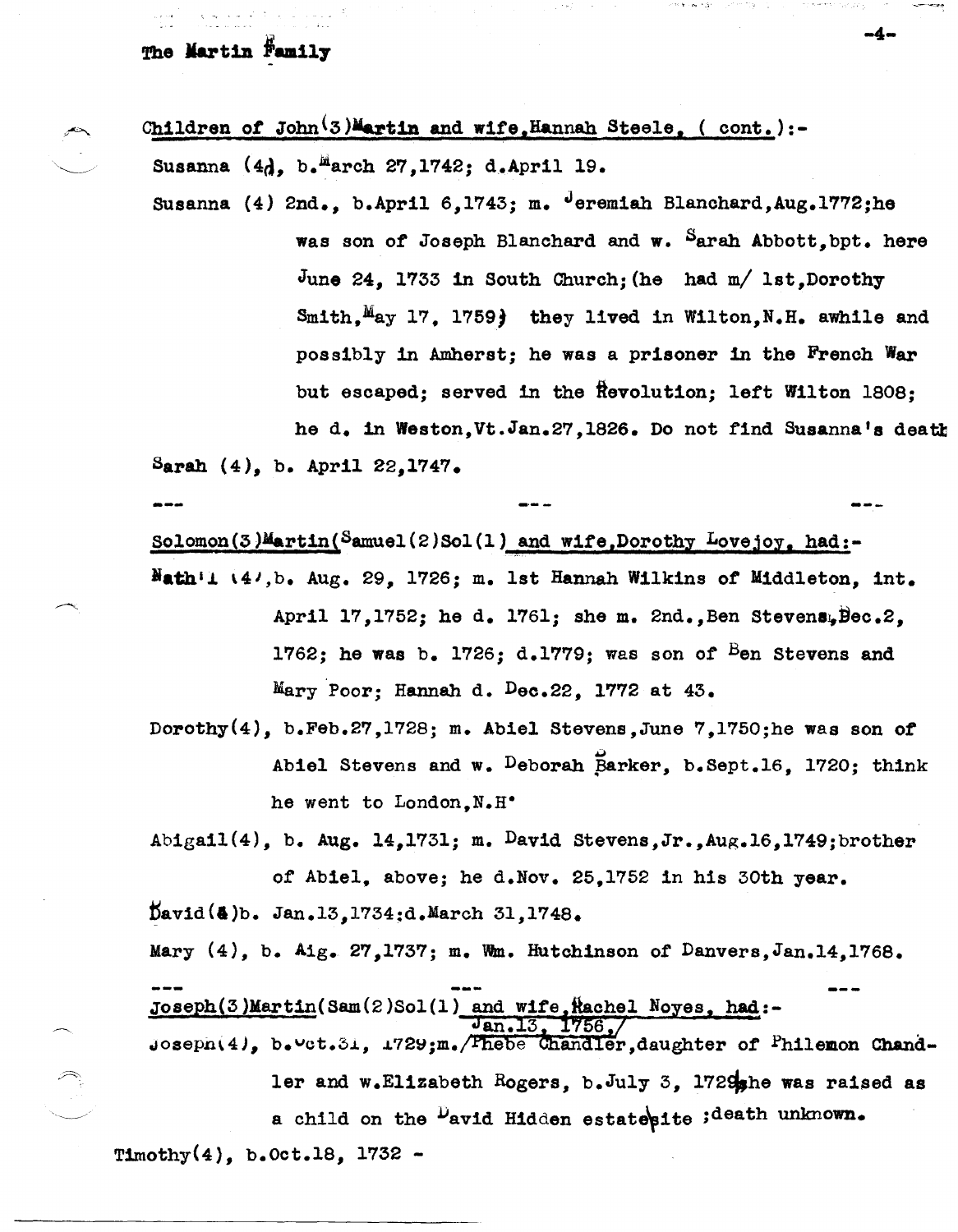# The Martin Family

Children of John<sup>(3)Martin and wife,Hannah Steele, ( cont.):-</sup> Susanna  $(4d, b.$ <sup>M</sup>arch 27,1742; d.April 19.

Susanna  $(4)$  2nd., b.April 6,1743; m.  $^{J}$ eremiah Blanchard,Aug.1772;he was son of Joseph Blanchard and w. Sarah Abbott, bpt. here June 24, 1733 1n South Church; {he had m/ 1st,Dorothy  $Smith, May 17, 1759$  they lived in Wilton,N.H. awhile and possibly 1n Amherst; he was a prisoner 1n the French War but escaped; served in the Revolution; left Wilton 1808: he d. in Weston,Vt.Jan.27,lS2S. Do not find Suaanna's deatt Sarah  $(4)$ , b. April 22,1747.

solomon(3)Martin(Samuel(2)Sol(1) and wife,Dorothy Lovejoy, had:-

- $H$ ath'i  $(4^j, b$ . Aug. 29, 1726; m. 1st Hannah Wilkins of Middleton, int. April 17,1752; he d. 1761; she m. 2nd., Ben Stevens, Bec.2, 1762; he was b. 1726; d.1779; was son of  $B$ en Stevens and Mary Poor; Hannah d. Dec. 22, 1772 at  $43.$
- Dorothy(4), b.Feb.27,1728j m. Abiel Stevens,June 7,1750;he was son *ot*  Abiel Stevens and w. Deborah Barker, b.Sept.16, 1720; think he went to London, N.H.

Abigail(4), b. Aug. 14,1731; m. David Stevens, Jr., Aug. 16,1749; brother of Abie1, above; he d.Nov. 25,1752 in his 30th year.

David(&)b. Jan.13,1734;d.March 31,1748.

Mary  $(4)$ , b. Aig. 27,1737; m. Wm. Hutchinson of Danvers, Jan.14,1768.

 $\frac{Joseph(3)Martin(Sam(2)Sol(1) \text{ and wife,Hachol Noyes, had:} - \frac{Jan.13, 1756}{1756}$ 

 $j$ osepn $(4)$ , b.<sup>u</sup>ct.3i, 1729;m./ Thebe Chandler,daughter of Philemon Chandler and w.Elizabeth Rogers, b.July 3, 1729<sub>she</sub> was raised as a child on the <sup>D</sup>avid Hidden estatesite ;death unknown. T1mothy(4}, b.Oct.1S, 1732 -

-4-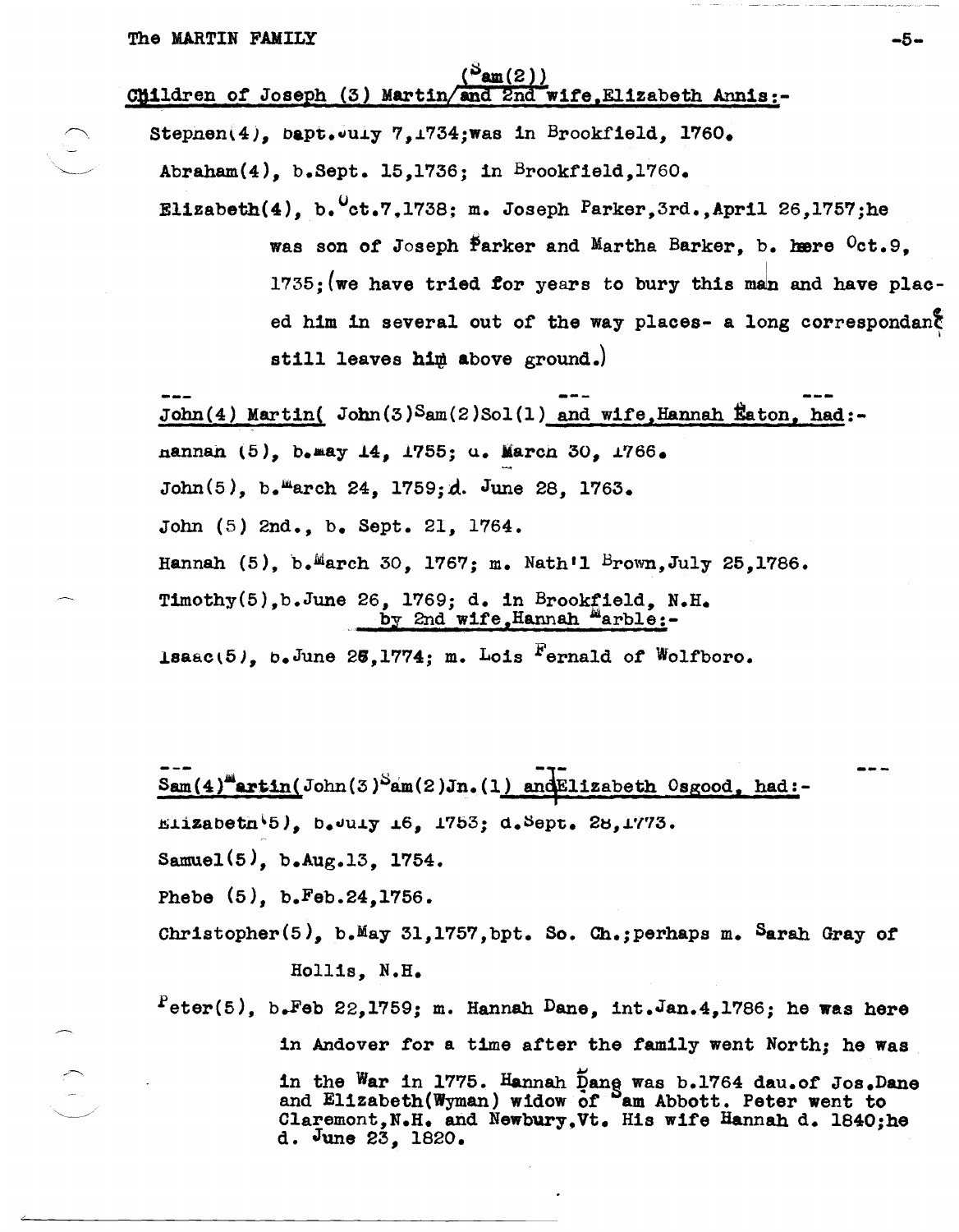# ( $\frac{(\text{Pam}(2))}{(\text{Mildren of Joseph (3))}$  Martin/and 2nd wife.Elizabeth Annis:-

Stepnen $(4)$ , bapt.July 7,1734;was in Brookfield, 1760.  ${\tt Abraham(4)}$ , b.Sept. 15,1736; in Brookfield,1760.

Elizabeth $(4)$ , b. $^{0}$ ct.7.1738; m. Joseph Parker.3rd.,April 26,1757;he was son of Joseph Parker and Martha Barker, b. here  $^{0}$ ct.9.  $1735$ ; (we have tried for years to bury this man and have placed him in several out of the way places- a long correspondant still leaves him above ground.)

John(4) Martin(  $John(3)Sam(2)Sol(1)$  and wife, Hannah Eaton, had:nannan \5), b.aay *i4, 1755;* u. Maren 30, *i766.*  John(5), b. march 24, 1759; d. June 28, 1763. John (5) 2nd., b. Sept. 21, 1764. Hannah (5), b.<sup>M</sup>arch 30, 1767; m. Nath'l Brown, July 25, 1786. Timothy(5),b.June 26, 1769; d. in Brookfield, N.H. by 2nd wife,Hannah  $\frac{\text{hy\_2nd\_wif}}{\text{am\_2nd\_wif}}$ 1saac(5), b.June 25,1774; m. Lois  $F$ ernald of Wolfboro.

 $\texttt{Sum}(4)^{\texttt{m}}$ artin(John(3) $\texttt{Sum}(2)$ Jn.(1) and Elizabeth Osgood. had:- $E112a\text{beta}$ ,  $b$ .  $u_1y$   $16$ ,  $1753$ ;  $d.$   $S$ ept. 28, 1773. Samuel(5), b.Aug.13, 1754.

Phebe (5), b.Feb.24,1756.

Chrlstopher(5), b.May 3l,1757,bpt. So. Ch.;perhaps m. Sarah Gray of

## Hollls, N.H.

 $P$ eter(5), b.Feb 22,1759; m. Hannah Dane, int.Jan.4,1786; he was here in Andover for a time after the famlly went North; he Was in the War in 1775. Hannah  $\overline{p}$ ang was b.1764 dau.of Jos.Dane and Elizabeth(Wyman) widow of <sup>S</sup>am Abbott. Peter went to Claremont, N.H. and Newbury, Vt. His wife Hannah d. 1840;he d. June 23, 1820.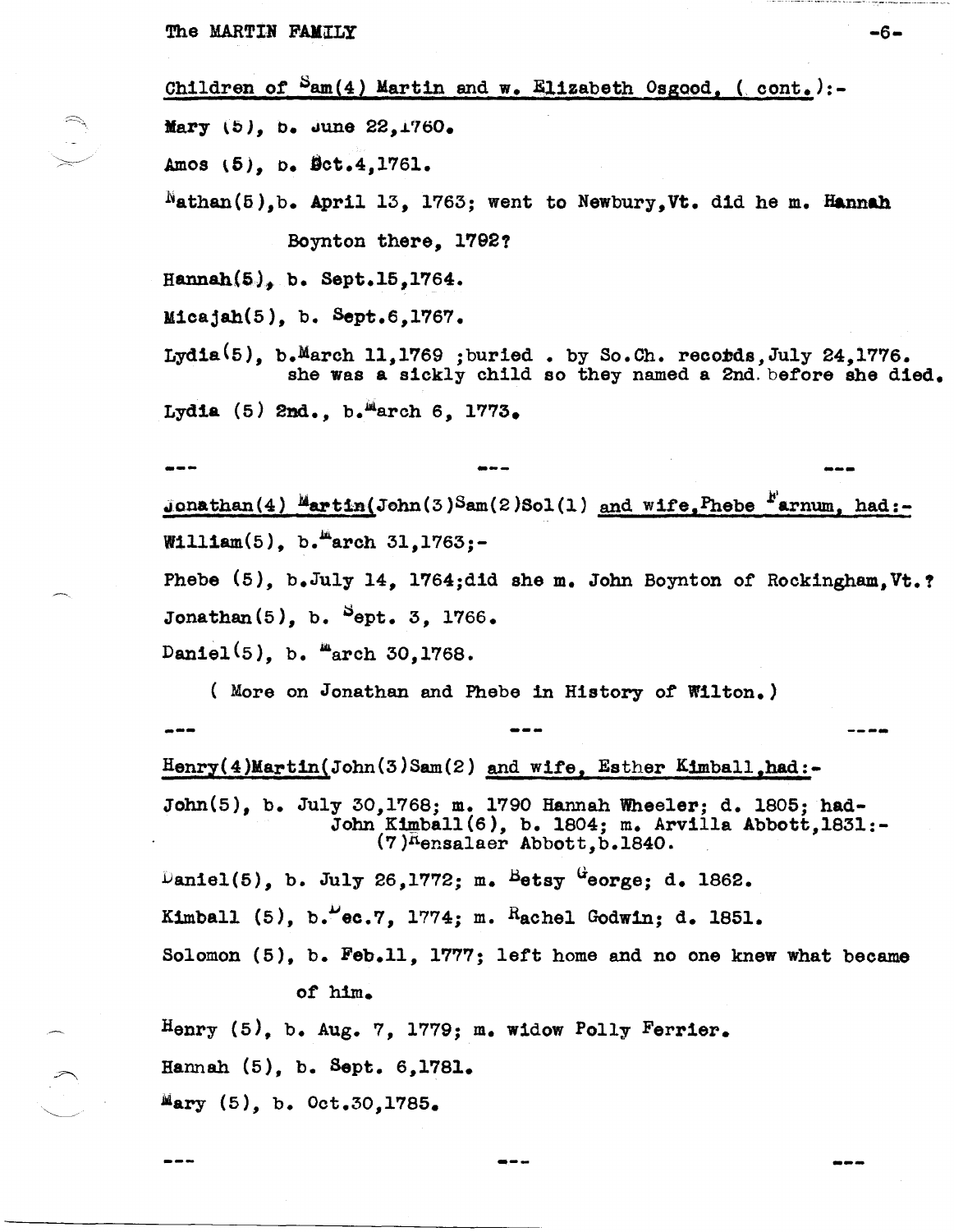The MARTIN FAMILY

Children of  $Sam(4)$  Martin and w. Elizabeth Osgood. (cont.):-

Mary  $(5)$ , b. June  $22,1760$ .

Amos (5), b. Dct.4,1761.

 $^{\text{N}}$ athan(5), b. April 13, 1763; went to Newbury, Vt. did he m. Hannah

Boynton there, 1792?

Hannah $(5)$ , b. Sept.15,1764.

Micajah $(5)$ , b. Sept.6,1767.

Lydia(5), b. March 11, 1769 ; buried . by So.Ch. records, July 24, 1776. she was a sickly child so they named a 2nd. before she died.

Lydia (5) 2nd., b. Harch 6, 1773.

Jonathan(4)  $M$ artin(John(3) Sam(2) Sol(1) and wife, Phebe  $N$ arnum, had:-William(5), b.  $marn 31, 1763; -$ 

Phebe (5), b.July 14, 1764;did she m. John Boynton of Rockingham, Vt.? Jonathan(5), b.  $^{5}$ ept. 3, 1766.

Daniel<sup>(5)</sup>, b. "arch 30,1768.

---

(More on Jonathan and Phebe in History of Wilton.)

Henry(4)Martin(John(3)Sam(2) and wife, Esther Kimball, had:-

John(5), b. July 30,1768; m. 1790 Hannah Wheeler; d. 1805; had-John Kimball (6), b. 1804; m. Arvilla Abbott, 1831:-(7)<sup>n</sup>ensalaer Abbott, b.1840.

Daniel(5), b. July 26, 1772; m. Betsy George; d. 1862.

Kimball (5), b."ec.7, 1774; m. Rachel Godwin; d. 1851.

Solomon (5), b. Feb.11, 1777; left home and no one knew what became of him.

Henry  $(5)$ , b. Aug. 7, 1779; m. widow Polly Ferrier.

Hannah (5), b. Sept. 6,1781.

Mary  $(5)$ , b. Oct.30,1785.

 $-6-$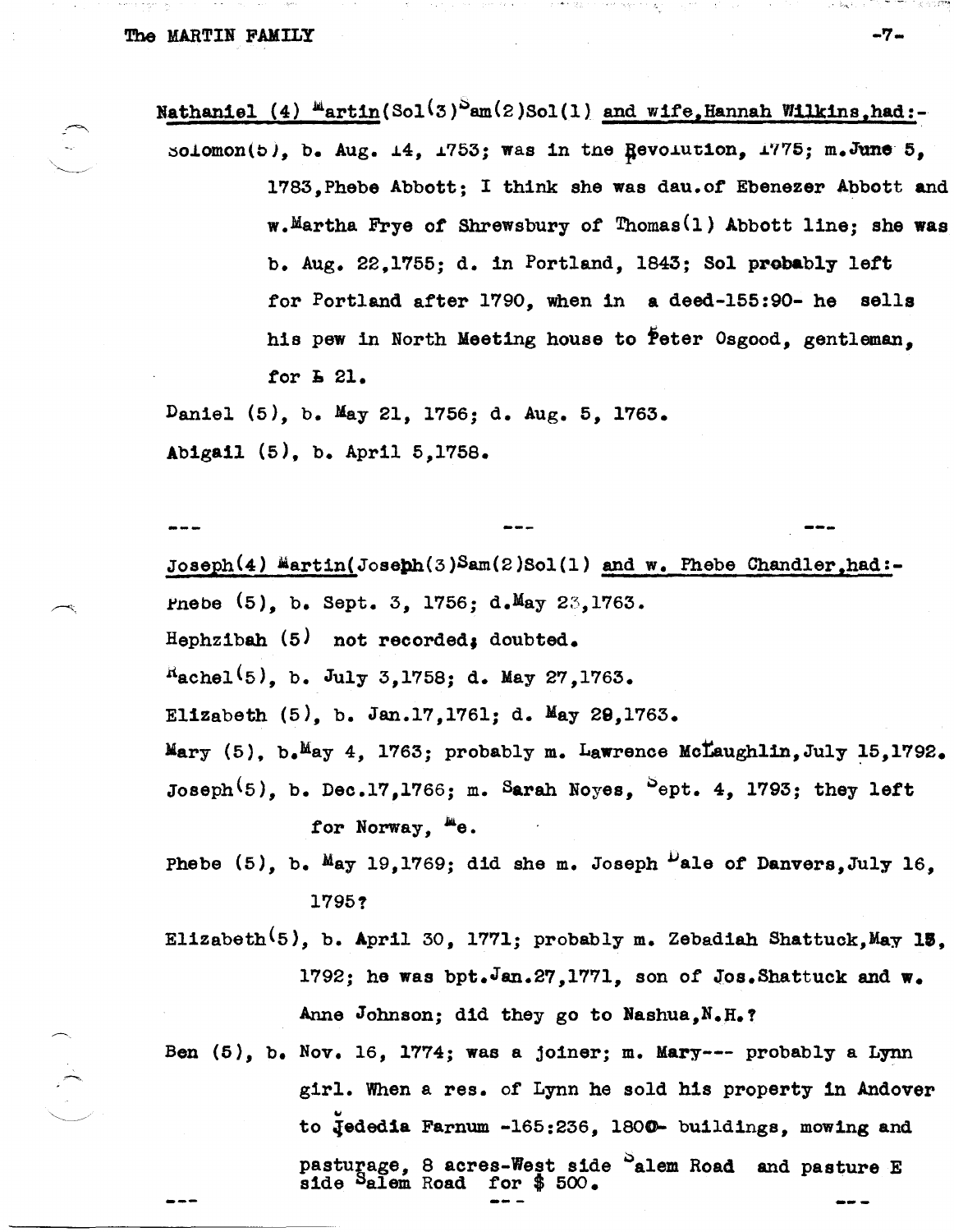Nathaniel (4)  $^{\mu}$ artin(Sol<sup>(3)</sup>am(2)Sol(1) and wife, Hannah Wilkins, had:-

solomon(b), b. Aug.  $\pm 4$ ,  $\pm 753$ ; was in the Revolution,  $\pm 775$ ; m.June 5, 1783,Phebe Abbott; I think she was dau.of Ebenezer Abbott and w.Martha Frye of Shrewsbury of Thomas<sup>(1)</sup> Abbott line; she was b. Aug. 22,1755; d. in Portland, 1843; Sol probably lett tor Portland after 1790, when in a deed-155:90- he sells his pew in North Meeting house to Peter Osgood, gentleman. for **E** 21.

Daniel (5), b. May 21, 1756; d. Aug. 5, 1763. Abigail (5), b. April 5,1758.

--- Joseph(4)  $M$ artin(Joseph(3)Sam(2)Sol(1) and w. Phebe Chandler,had:-Pnebe  $(5)$ , b. Sept. 3, 1756; d.May 23,1763. Hephzibah (5) not recorded, doubted.  $^{R}$ achel<sup>(5)</sup>, b. July 3,1758; d. May 27,1763. EliZabeth (5), b. Jan.17,1761; d. May 29,1763. Mary  $(5)$ , b. May 4, 1763; probably m. Lawrence McLaughlin, July 15,1792. Joseph<sup>(5)</sup>, b. Dec.17,1766; m. Sarah Noyes, <sup>S</sup>ept. 4, 1793; they left for Norway.  $E_{\theta}$ . Phebe  $(5)$ , b. May 19,1769; did she m. Joseph  $\frac{D}{2}$ ale of Danvers, July 16.

1795?

Elizabeth<sup>(5)</sup>, b. April 30, 1771; probably m. Zebadiah Shattuck, May 15. 1792; he was bpt.Jan.27,1771, son of Jos. Shattuck and  $w_{\bullet}$ Anne Johnson; did they go to Nashua,N.H.?

Ben (5), b. Nov. 16, 1774; was a joiner; m. Mary--- probably a Lynn girl. When a res. of Lynn he sold his property in Andover to Jededia Farnum -165:236, 1800- buildings, mowing and pasturage, 8 acres-West side <sup>S</sup>alem Road and pasture E side Salem Road for \$500.

 $\cdot$  ;  $\cdot$   $\cdot$   $\cdot$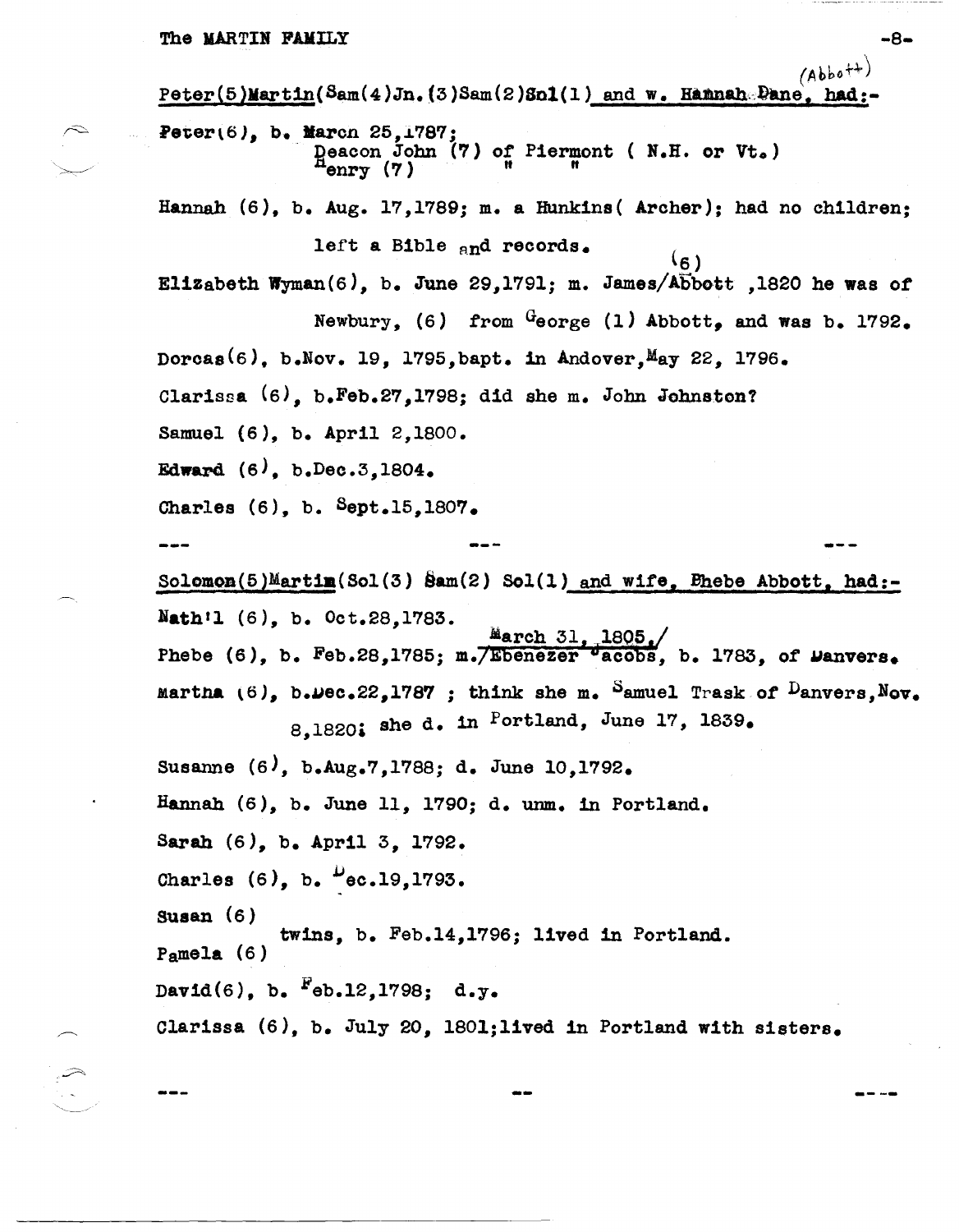$(Abbot+$  $Peter(5)$ Mart1n(Sam(4)Jn. (3)Sam(2)So1(1) and w. Hamah.Dane, had:- $\curvearrowright$  Peter(6), b. March 25, 1787; Deacon John (7) of Piermont ( B.H. or Vt.) iarcn 25,1787;<br>Deacon John (7) of Piermon<br>"enry (7) "n" Hannah (6), b. Aug. 17,1789: m. a Hunkins( Archer); had no children; left a Bible and records.  $(6)$ Elizabeth Wyman(6), b. June 29,1791; m. James/Abbott ,1820 he was of Newbury, (6) from  $G_{\text{eorge}}$  (1) Abbott. and was b. 1792. Dorcas<sup>(6)</sup>. b.Nov. 19. 1795, bapt. in Andover,  $M_{\text{AY}}$  22, 1796. Clarissa (6), b.Feb.27,1798: did she m. John Johnston? Samuel (6), b. April 2,1800. Edward  $(6)$ , b.Dec.3,1804. Charles (6), b. Bept.1S,1807. Solomon(5)Martim(Sol(3) Sam(2) Sol(1) and wife, Bhebe Abbott, had:-Nath<sup>1</sup>1 (6), b. Oct.28,1783. March 31, Phebe (6), b. Feb.28,1785; m. *Ebenezer*  $\overline{v}$  acobs, b. 1783, of Danvers. Martha  $(6)$ , b.wec.22,1787 ; think she m. Samuel Trask of  $D$ anvers, Nov. 8,1820; she d. in Portland, June 17, 1839. Susanne (6), b.Aug.7,1788: d. June 10,1792. Hannah (6), b. June 11, 1790; d. unm. in Portland. Sarah (6), b. April 3, 1792. Charles  $(6)$ , b.  $\frac{\mu}{6}$ ec.19,1793. Susan (6) Pamela (6) twins, b. Feb.14,1796: lived in Portland. David(6), b.  $F_{eb.12,1798; d.y.}$ clarissa (6), b. July 20, l801;lived in Portland with sisters.

-8-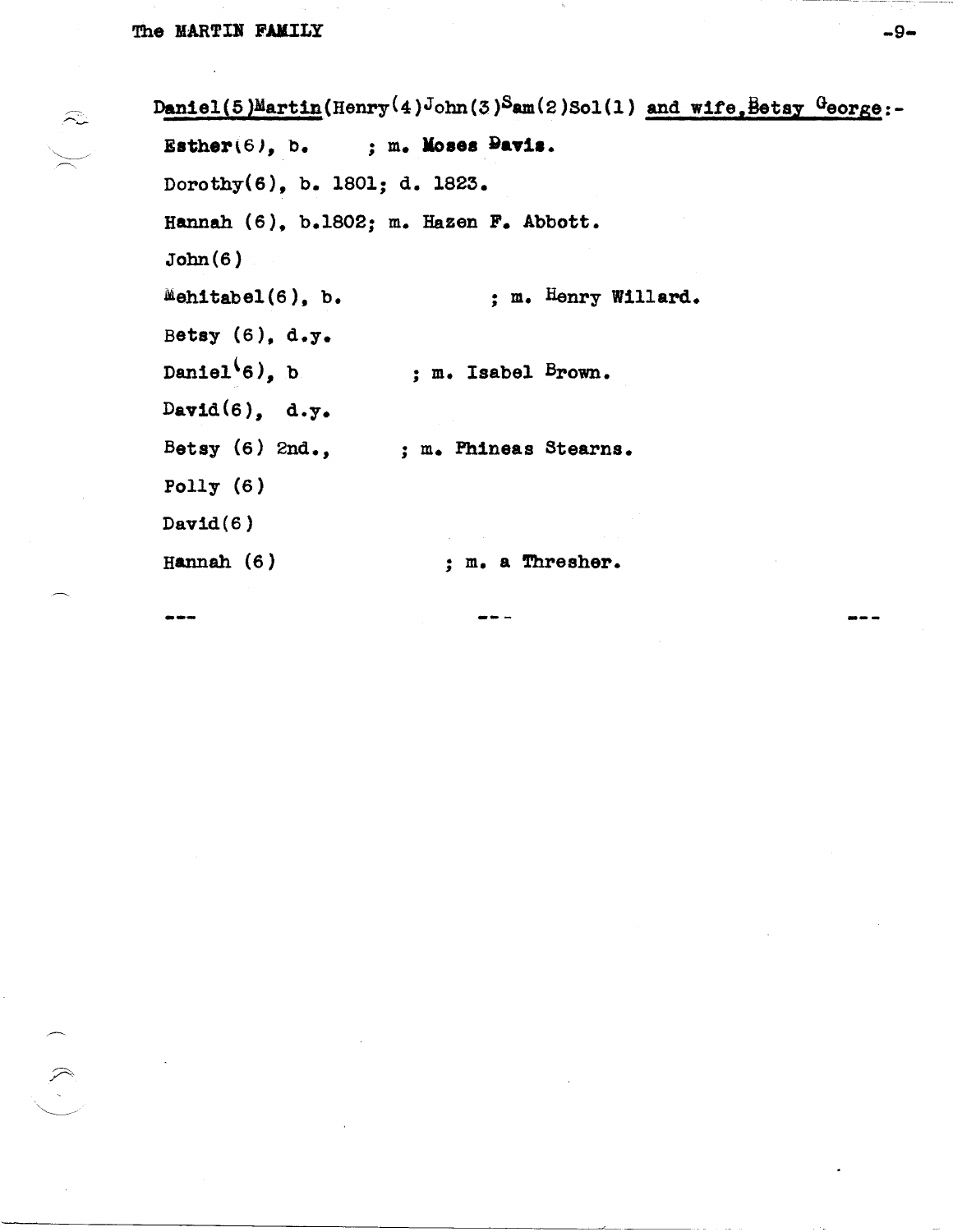$\widehat{\sim}$ 

Daniel (5)Martin (Henry (4)John (3)Sam(2)Sol(1) and wife, Betay George:-; m. Moses Pavis. Esther $(6)$ , b. Dorothy(6), b. 1801; d. 1823. Hannah (6), b.1802; m. Hazen F. Abbott.  $John(6)$ Mehitabel(6), b. ; m. Henry Willard. Betsy (6), d.y. Daniel $(6)$ , b ; m. Isabel Brown. David $(6)$ , d.y. Betsy  $(6)$  2nd., ; m. Phineas Stearns. Polly  $(6)$  $David(6)$ Hannah  $(6)$ ; m. a Thresher.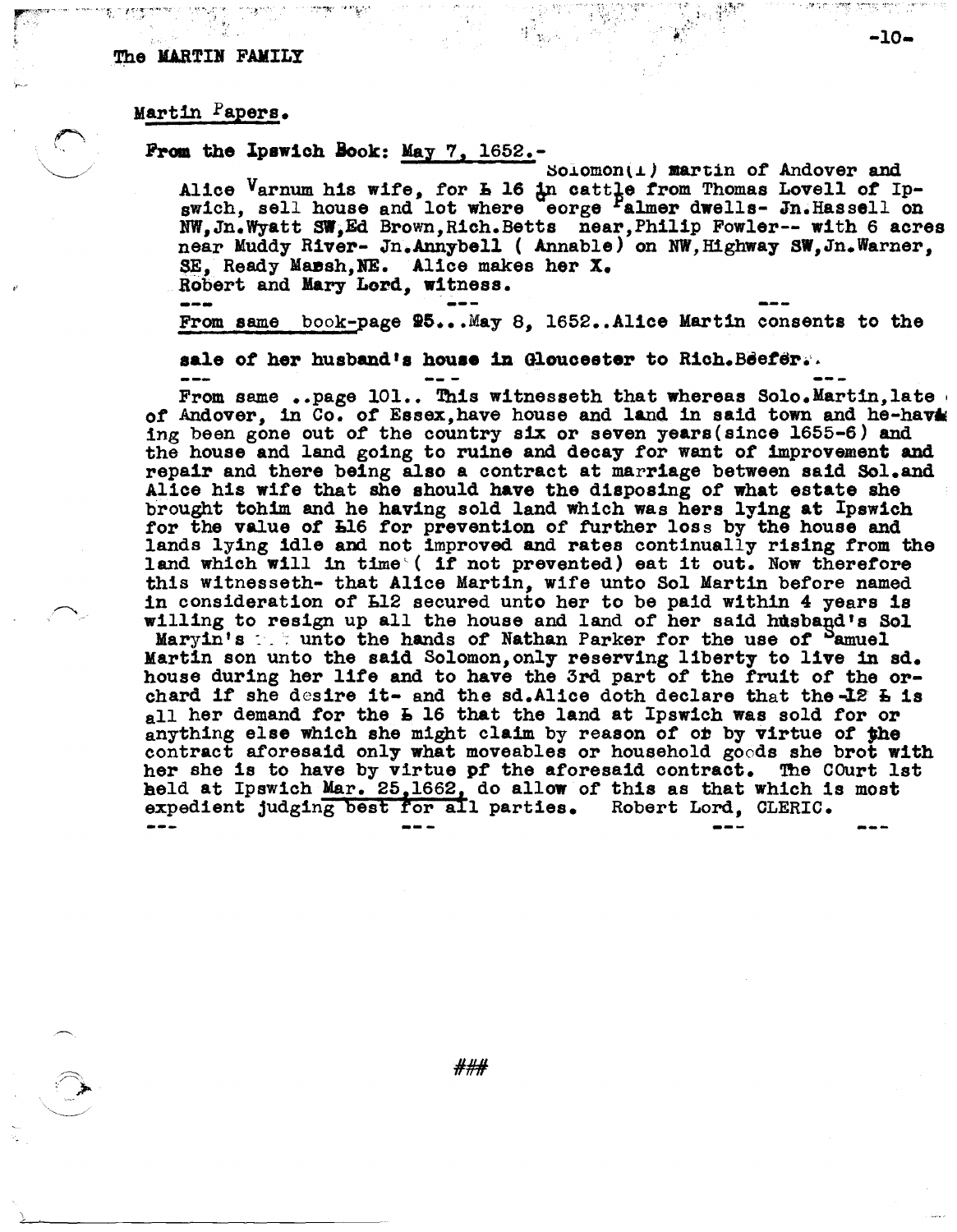### Martin Papers.

### From the Ipswich Book: May  $7, 1652$ .

 $Sojomon(1)$  martin of Andover and Alice Varnum his wife, for **h** 16 in cattle from Thomas Lovell of Ip-<br>swich, sell house and lot where eorge Falmer dwells- Jn.Hassell on NW, Jn. Wyatt SW. Ed Brown, Rich. Betts near, Philip Fowler-- with 6 acres near Muddy River- Jn.Annybell (Annable) on NW, Highway SW, Jn. Warner, SE, Ready Mansh, NE. Alice makes her X. Robert and Mary Lord, witness.

From same book-page  $95...$  May 8, 1652..Alice Martin consents to the

sale of her husband's house in Gloucester to Rich. Beefer.

From same ..page  $101...$  This witnesseth that whereas Solo.Martin, late of Andover, in Co. of Essex, have house and land in said town and he-havis ing been gone out of the country six or seven years (since 1655-6) and the house and land going to ruine and decay for want of improvement and repair and there being also a contract at marriage between said Sol.and Alice his wife that she should have the disposing of what estate she brought tohim and he having sold land which was hers lying at Ipswich for the value of L16 for prevention of further loss by the house and lands lying idle and not improved and rates continually rising from the land which will in time (if not prevented) eat it out. Now therefore this witnesseth- that Alice Martin, wife unto Sol Martin before named in consideration of L12 secured unto her to be paid within 4 years is willing to resign up all the house and land of her said husband's Sol Maryin's the unto the hands of Nathan Parker for the use of Pamuel Martin son unto the said Solomon, only reserving liberty to live in sd. house during her life and to have the 3rd part of the fruit of the orchard if she desire it- and the sd. Alice doth declare that the -12 L is  $_{\rm all}$  her demand for the L 16 that the land at Ipswich was sold for or anything else which she might claim by reason of or by virtue of the contract aforesaid only what moveables or household goods she brot with her she is to have by virtue of the aforesaid contract. The COurt lst held at Ipswich Mar. 25,1662, do allow of this as that which is most expedient judging best for all parties. Robert Lord, CLERIC.

###